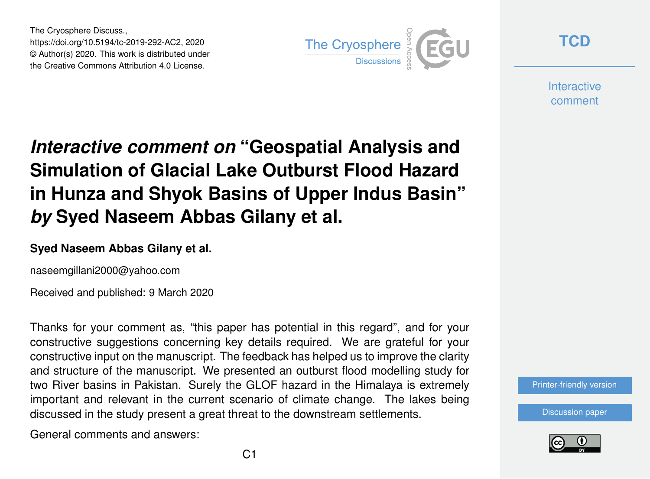The Cryosphere Discuss., https://doi.org/10.5194/tc-2019-292-AC2, 2020 © Author(s) 2020. This work is distributed under the Creative Commons Attribution 4.0 License.



**[TCD](https://www.the-cryosphere-discuss.net/)**

**Interactive** comment

## *Interactive comment on* **"Geospatial Analysis and Simulation of Glacial Lake Outburst Flood Hazard in Hunza and Shyok Basins of Upper Indus Basin"** *by* **Syed Naseem Abbas Gilany et al.**

## **Syed Naseem Abbas Gilany et al.**

naseemgillani2000@yahoo.com

Received and published: 9 March 2020

Thanks for your comment as, "this paper has potential in this regard", and for your constructive suggestions concerning key details required. We are grateful for your constructive input on the manuscript. The feedback has helped us to improve the clarity and structure of the manuscript. We presented an outburst flood modelling study for two River basins in Pakistan. Surely the GLOF hazard in the Himalaya is extremely important and relevant in the current scenario of climate change. The lakes being discussed in the study present a great threat to the downstream settlements.

General comments and answers:

[Printer-friendly version](https://www.the-cryosphere-discuss.net/tc-2019-292/tc-2019-292-AC2-print.pdf)

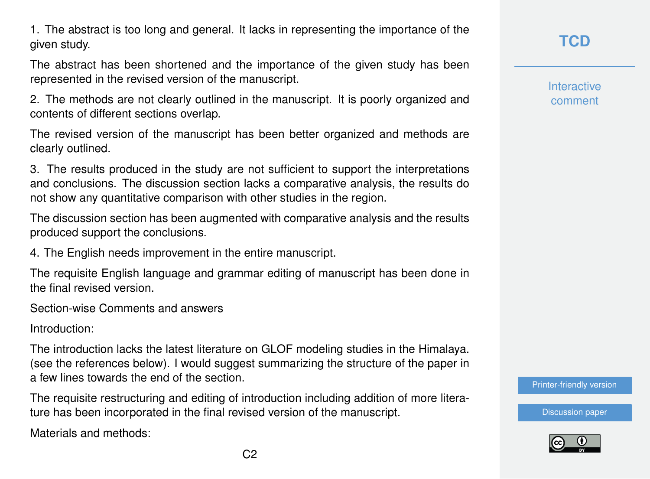1. The abstract is too long and general. It lacks in representing the importance of the given study.

The abstract has been shortened and the importance of the given study has been represented in the revised version of the manuscript.

2. The methods are not clearly outlined in the manuscript. It is poorly organized and contents of different sections overlap.

The revised version of the manuscript has been better organized and methods are clearly outlined.

3. The results produced in the study are not sufficient to support the interpretations and conclusions. The discussion section lacks a comparative analysis, the results do not show any quantitative comparison with other studies in the region.

The discussion section has been augmented with comparative analysis and the results produced support the conclusions.

4. The English needs improvement in the entire manuscript.

The requisite English language and grammar editing of manuscript has been done in the final revised version.

Section-wise Comments and answers

Introduction:

The introduction lacks the latest literature on GLOF modeling studies in the Himalaya. (see the references below). I would suggest summarizing the structure of the paper in a few lines towards the end of the section.

The requisite restructuring and editing of introduction including addition of more literature has been incorporated in the final revised version of the manuscript.

Materials and methods:

**Interactive** comment

[Printer-friendly version](https://www.the-cryosphere-discuss.net/tc-2019-292/tc-2019-292-AC2-print.pdf)

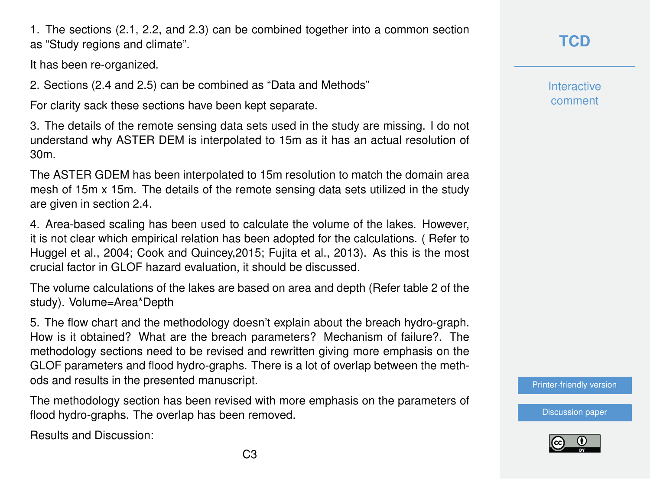1. The sections (2.1, 2.2, and 2.3) can be combined together into a common section as "Study regions and climate".

It has been re-organized.

2. Sections (2.4 and 2.5) can be combined as "Data and Methods"

For clarity sack these sections have been kept separate.

3. The details of the remote sensing data sets used in the study are missing. I do not understand why ASTER DEM is interpolated to 15m as it has an actual resolution of 30m.

The ASTER GDEM has been interpolated to 15m resolution to match the domain area mesh of 15m x 15m. The details of the remote sensing data sets utilized in the study are given in section 2.4.

4. Area-based scaling has been used to calculate the volume of the lakes. However, it is not clear which empirical relation has been adopted for the calculations. ( Refer to Huggel et al., 2004; Cook and Quincey,2015; Fujita et al., 2013). As this is the most crucial factor in GLOF hazard evaluation, it should be discussed.

The volume calculations of the lakes are based on area and depth (Refer table 2 of the study). Volume=Area\*Depth

5. The flow chart and the methodology doesn't explain about the breach hydro-graph. How is it obtained? What are the breach parameters? Mechanism of failure?. The methodology sections need to be revised and rewritten giving more emphasis on the GLOF parameters and flood hydro-graphs. There is a lot of overlap between the methods and results in the presented manuscript.

The methodology section has been revised with more emphasis on the parameters of flood hydro-graphs. The overlap has been removed.

Results and Discussion:

**Interactive** comment

[Printer-friendly version](https://www.the-cryosphere-discuss.net/tc-2019-292/tc-2019-292-AC2-print.pdf)

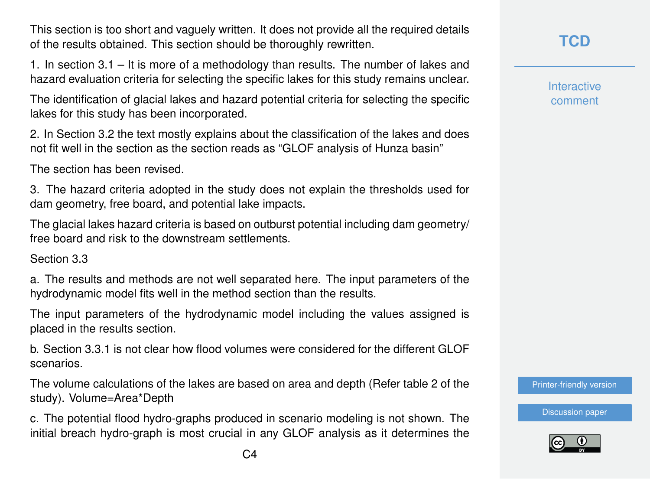This section is too short and vaguely written. It does not provide all the required details of the results obtained. This section should be thoroughly rewritten.

1. In section 3.1 – It is more of a methodology than results. The number of lakes and hazard evaluation criteria for selecting the specific lakes for this study remains unclear.

The identification of glacial lakes and hazard potential criteria for selecting the specific lakes for this study has been incorporated.

2. In Section 3.2 the text mostly explains about the classification of the lakes and does not fit well in the section as the section reads as "GLOF analysis of Hunza basin"

The section has been revised.

3. The hazard criteria adopted in the study does not explain the thresholds used for dam geometry, free board, and potential lake impacts.

The glacial lakes hazard criteria is based on outburst potential including dam geometry/ free board and risk to the downstream settlements.

Section 3.3

a. The results and methods are not well separated here. The input parameters of the hydrodynamic model fits well in the method section than the results.

The input parameters of the hydrodynamic model including the values assigned is placed in the results section.

b. Section 3.3.1 is not clear how flood volumes were considered for the different GLOF scenarios.

The volume calculations of the lakes are based on area and depth (Refer table 2 of the study). Volume=Area\*Depth

c. The potential flood hydro-graphs produced in scenario modeling is not shown. The initial breach hydro-graph is most crucial in any GLOF analysis as it determines the **Interactive** comment

[Printer-friendly version](https://www.the-cryosphere-discuss.net/tc-2019-292/tc-2019-292-AC2-print.pdf)

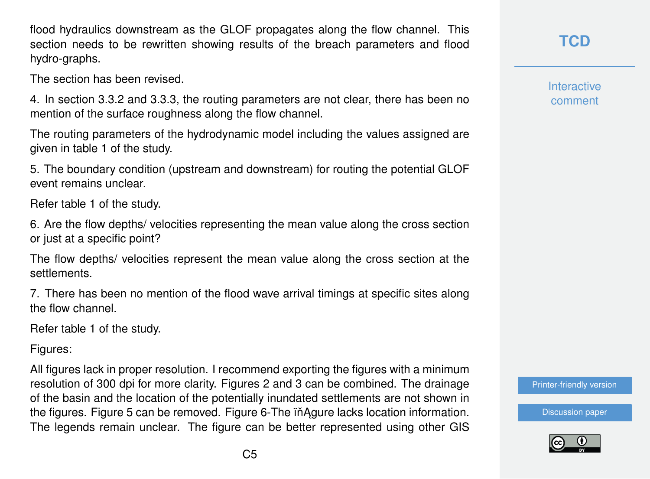flood hydraulics downstream as the GLOF propagates along the flow channel. This section needs to be rewritten showing results of the breach parameters and flood hydro-graphs.

The section has been revised.

4. In section 3.3.2 and 3.3.3, the routing parameters are not clear, there has been no mention of the surface roughness along the flow channel.

The routing parameters of the hydrodynamic model including the values assigned are given in table 1 of the study.

5. The boundary condition (upstream and downstream) for routing the potential GLOF event remains unclear.

Refer table 1 of the study.

6. Are the flow depths/ velocities representing the mean value along the cross section or just at a specific point?

The flow depths/ velocities represent the mean value along the cross section at the settlements.

7. There has been no mention of the flood wave arrival timings at specific sites along the flow channel.

Refer table 1 of the study.

Figures:

All figures lack in proper resolution. I recommend exporting the figures with a minimum resolution of 300 dpi for more clarity. Figures 2 and 3 can be combined. The drainage of the basin and the location of the potentially inundated settlements are not shown in the figures. Figure 5 can be removed. Figure 6-The in Agure lacks location information. The legends remain unclear. The figure can be better represented using other GIS **Interactive** comment

[Printer-friendly version](https://www.the-cryosphere-discuss.net/tc-2019-292/tc-2019-292-AC2-print.pdf)

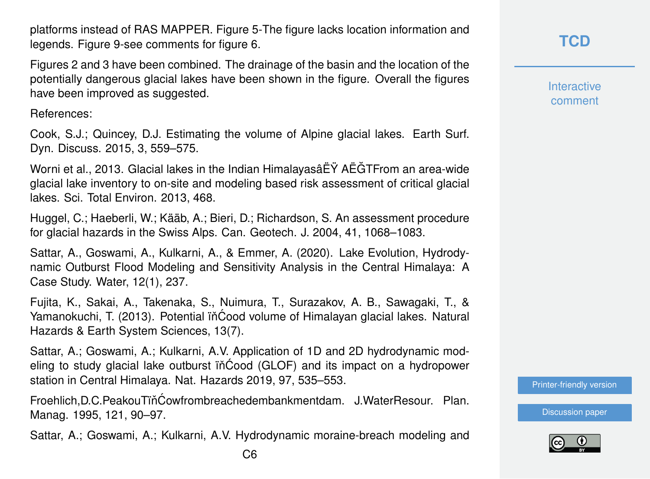platforms instead of RAS MAPPER. Figure 5-The figure lacks location information and legends. Figure 9-see comments for figure 6.

Figures 2 and 3 have been combined. The drainage of the basin and the location of the potentially dangerous glacial lakes have been shown in the figure. Overall the figures have been improved as suggested.

References:

Cook, S.J.; Quincey, D.J. Estimating the volume of Alpine glacial lakes. Earth Surf. Dyn. Discuss. 2015, 3, 559–575.

Worni et al., 2013. Glacial lakes in the Indian HimalayasâËŸ AËGTFrom an area-wide ˘ glacial lake inventory to on-site and modeling based risk assessment of critical glacial lakes. Sci. Total Environ. 2013, 468.

Huggel, C.; Haeberli, W.; Kääb, A.; Bieri, D.; Richardson, S. An assessment procedure for glacial hazards in the Swiss Alps. Can. Geotech. J. 2004, 41, 1068–1083.

Sattar, A., Goswami, A., Kulkarni, A., & Emmer, A. (2020). Lake Evolution, Hydrodynamic Outburst Flood Modeling and Sensitivity Analysis in the Central Himalaya: A Case Study. Water, 12(1), 237.

Fujita, K., Sakai, A., Takenaka, S., Nuimura, T., Surazakov, A. B., Sawagaki, T., & Yamanokuchi, T. (2013). Potential iňĆood volume of Himalayan glacial lakes. Natural Hazards & Earth System Sciences, 13(7).

Sattar, A.; Goswami, A.; Kulkarni, A.V. Application of 1D and 2D hydrodynamic modeling to study glacial lake outburst iñĆood (GLOF) and its impact on a hydropower station in Central Himalaya. Nat. Hazards 2019, 97, 535–553.

Froehlich, D.C. PeakouTiň Ćowfrombreachedembankmentdam. J. WaterResour. Plan. Manag. 1995, 121, 90–97.

Sattar, A.; Goswami, A.; Kulkarni, A.V. Hydrodynamic moraine-breach modeling and

**Interactive** comment

[Printer-friendly version](https://www.the-cryosphere-discuss.net/tc-2019-292/tc-2019-292-AC2-print.pdf)